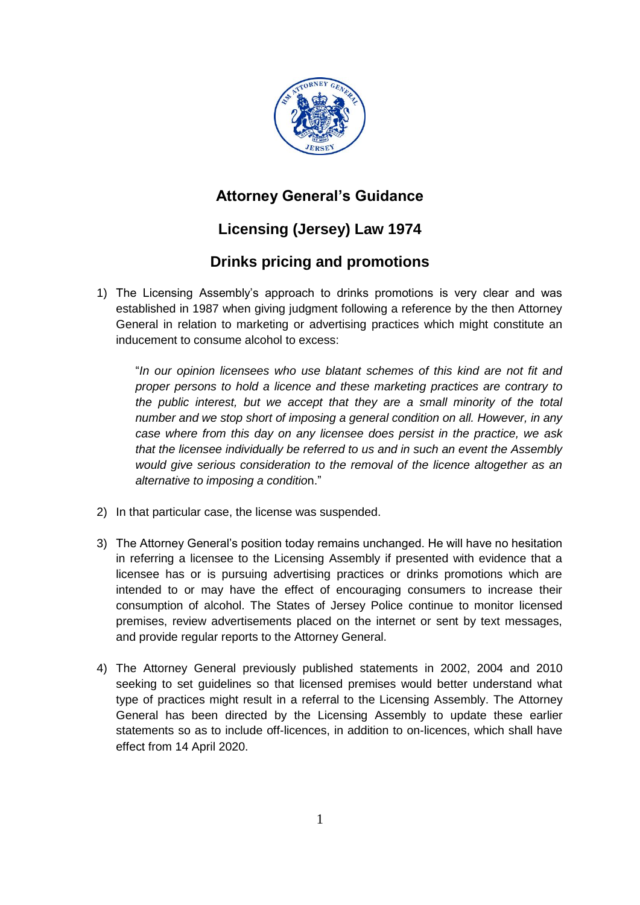

## **Attorney General's Guidance**

# **Licensing (Jersey) Law 1974**

### **Drinks pricing and promotions**

1) The Licensing Assembly's approach to drinks promotions is very clear and was established in 1987 when giving judgment following a reference by the then Attorney General in relation to marketing or advertising practices which might constitute an inducement to consume alcohol to excess:

"*In our opinion licensees who use blatant schemes of this kind are not fit and proper persons to hold a licence and these marketing practices are contrary to the public interest, but we accept that they are a small minority of the total number and we stop short of imposing a general condition on all. However, in any case where from this day on any licensee does persist in the practice, we ask that the licensee individually be referred to us and in such an event the Assembly would give serious consideration to the removal of the licence altogether as an alternative to imposing a conditio*n."

- 2) In that particular case, the license was suspended.
- 3) The Attorney General's position today remains unchanged. He will have no hesitation in referring a licensee to the Licensing Assembly if presented with evidence that a licensee has or is pursuing advertising practices or drinks promotions which are intended to or may have the effect of encouraging consumers to increase their consumption of alcohol. The States of Jersey Police continue to monitor licensed premises, review advertisements placed on the internet or sent by text messages, and provide regular reports to the Attorney General.
- 4) The Attorney General previously published statements in 2002, 2004 and 2010 seeking to set guidelines so that licensed premises would better understand what type of practices might result in a referral to the Licensing Assembly. The Attorney General has been directed by the Licensing Assembly to update these earlier statements so as to include off-licences, in addition to on-licences, which shall have effect from 14 April 2020.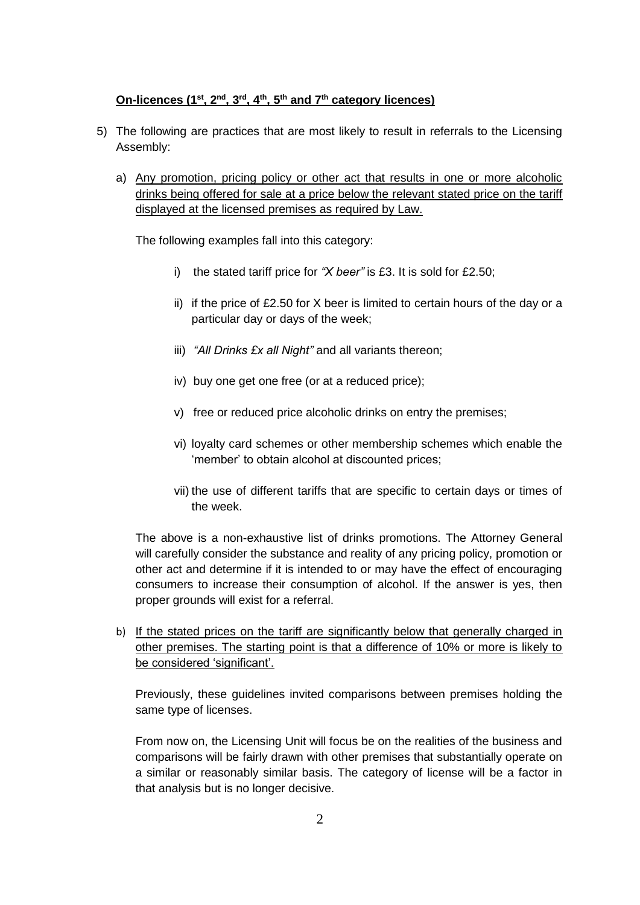#### **On-licences (1st, 2nd, 3rd, 4th, 5th and 7th category licences)**

- 5) The following are practices that are most likely to result in referrals to the Licensing Assembly:
	- a) Any promotion, pricing policy or other act that results in one or more alcoholic drinks being offered for sale at a price below the relevant stated price on the tariff displayed at the licensed premises as required by Law.

The following examples fall into this category:

- i) the stated tariff price for *"X beer"* is £3. It is sold for £2.50;
- ii) if the price of £2.50 for X beer is limited to certain hours of the day or a particular day or days of the week;
- iii) *"All Drinks £x all Night"* and all variants thereon;
- iv) buy one get one free (or at a reduced price);
- v) free or reduced price alcoholic drinks on entry the premises;
- vi) loyalty card schemes or other membership schemes which enable the 'member' to obtain alcohol at discounted prices;
- vii) the use of different tariffs that are specific to certain days or times of the week.

The above is a non-exhaustive list of drinks promotions. The Attorney General will carefully consider the substance and reality of any pricing policy, promotion or other act and determine if it is intended to or may have the effect of encouraging consumers to increase their consumption of alcohol. If the answer is yes, then proper grounds will exist for a referral.

b) If the stated prices on the tariff are significantly below that generally charged in other premises. The starting point is that a difference of 10% or more is likely to be considered 'significant'.

Previously, these guidelines invited comparisons between premises holding the same type of licenses.

From now on, the Licensing Unit will focus be on the realities of the business and comparisons will be fairly drawn with other premises that substantially operate on a similar or reasonably similar basis. The category of license will be a factor in that analysis but is no longer decisive.